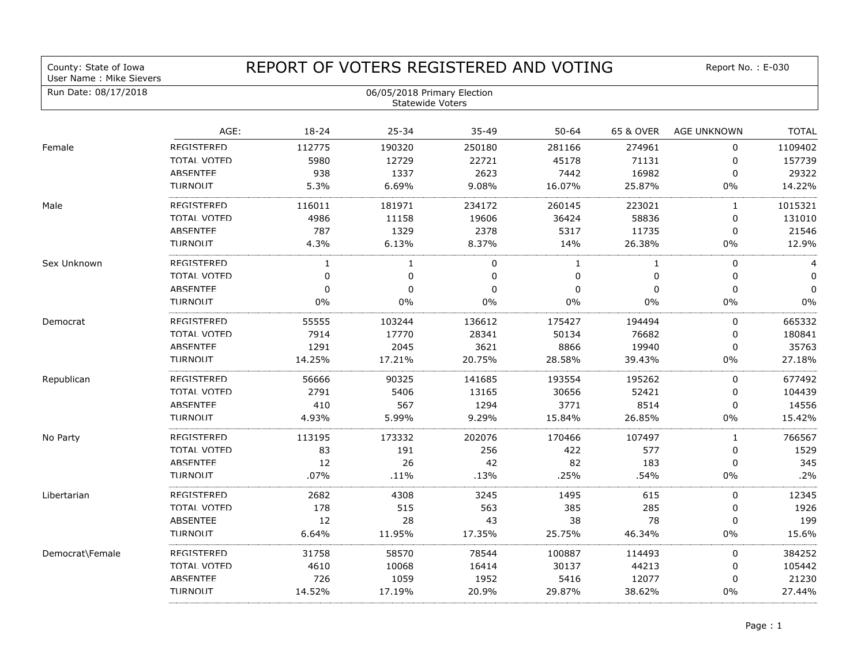| County: State of Iowa<br>User Name: Mike Sievers | REPORT OF VOTERS REGISTERED AND VOTING                 |                |              |             |                |              | Report No.: E-030  |                |
|--------------------------------------------------|--------------------------------------------------------|----------------|--------------|-------------|----------------|--------------|--------------------|----------------|
| Run Date: 08/17/2018                             | 06/05/2018 Primary Election<br><b>Statewide Voters</b> |                |              |             |                |              |                    |                |
|                                                  | AGE:                                                   | 18-24          | 25-34        | $35 - 49$   | $50 - 64$      | 65 & OVER    | <b>AGE UNKNOWN</b> | <b>TOTAL</b>   |
| Female                                           | REGISTERED                                             | 112775         | 190320       | 250180      | 281166         | 274961       | $\mathbf 0$        | 1109402        |
|                                                  | <b>TOTAL VOTED</b>                                     | 5980           | 12729        | 22721       | 45178          | 71131        | 0                  | 157739         |
|                                                  | <b>ABSENTFF</b>                                        | 938            | 1337         | 2623        | 7442           | 16982        | 0                  | 29322          |
|                                                  | <b>TURNOUT</b>                                         | 5.3%           | 6.69%        | 9.08%       | 16.07%         | 25.87%       | $0\%$              | 14.22%         |
| Male                                             | <b>REGISTERED</b>                                      | 116011         | 181971       | 234172      | 260145         | 223021       | 1                  | 1015321        |
|                                                  | TOTAI VOTFD                                            | 4986           | 11158        | 19606       | 36424          | 58836        | 0                  | 131010         |
|                                                  | <b>ARSENTFF</b>                                        | 787            | 1329         | 2378        | 5317           | 11735        | 0                  | 21546          |
|                                                  | <b>TURNOUT</b>                                         | 4.3%           | 6.13%        | 8.37%       | 14%            | 26.38%       | $0\%$              | 12.9%          |
| Sex Unknown                                      | <b>REGISTERED</b>                                      | 1              | 1            | 0           | $\mathbf{1}$   | $\mathbf{1}$ | $\mathbf 0$        | $\overline{4}$ |
|                                                  | TOTAI VOTFD                                            | $\mathbf 0$    | $\mathbf 0$  | $\mathbf 0$ | 0              | $\pmb{0}$    | 0                  | $\Omega$       |
|                                                  | <b>ABSENTFF</b>                                        | $\overline{0}$ | $\mathbf{0}$ | $\Omega$    | $\overline{0}$ | $\mathbf 0$  | $\mathbf 0$        | $\Omega$       |
|                                                  | <b>TURNOUT</b>                                         | 0%             | 0%           | 0%          | 0%             | $0\%$        | $0\%$              | $0\%$          |
| Democrat                                         | <b>REGISTERED</b>                                      | 55555          | 103244       | 136612      | 175427         | 194494       | 0                  | 665332         |
|                                                  | TOTAI VOTED                                            | 7914           | 17770        | 28341       | 50134          | 76682        | 0                  | 180841         |
|                                                  | <b>ARSENTFF</b>                                        | 1291           | 2045         | 3621        | 8866           | 19940        | 0                  | 35763          |
|                                                  | <b>TURNOUT</b>                                         | 14.25%         | 17.21%       | 20.75%      | 28.58%         | 39.43%       | $0\%$              | 27.18%         |
| Republican                                       | REGISTERED                                             | 56666          | 90325        | 141685      | 193554         | 195262       | 0                  | 677492         |
|                                                  | TOTAI VOTED                                            | 2791           | 5406         | 13165       | 30656          | 52421        | 0                  | 104439         |
|                                                  | <b>ABSENTFF</b>                                        | 410            | 567          | 1294        | 3771           | 8514         | 0                  | 14556          |
|                                                  | <b>TURNOUT</b>                                         | 4.93%          | 5.99%        | 9.29%       | 15.84%         | 26.85%       | $0\%$              | 15.42%         |
| No Party                                         | REGISTERED                                             | 113195         | 173332       | 202076      | 170466         | 107497       | $\mathbf{1}$       | 766567         |
|                                                  | TOTAI VOTED                                            | 83             | 191          | 256         | 422            | 577          | $\mathbf 0$        | 1529           |
|                                                  | <b>ABSENTFF</b>                                        | 12             | 26           | 42          | 82             | 183          | 0                  | 345            |
|                                                  | <b>TURNOUT</b>                                         | .07%           | .11%         | .13%        | .25%           | .54%         | $0\%$              | .2%            |
| Libertarian                                      | <b>REGISTERED</b>                                      | 2682           | 4308         | 3245        | 1495           | 615          | 0                  | 12345          |
|                                                  | TOTAI VOTED                                            | 178            | 515          | 563         | 385            | 285          | 0                  | 1926           |
|                                                  | <b>ABSENTFF</b>                                        | 12             | 28           | 43          | 38             | 78           | $\Omega$           | 199            |
|                                                  | <b>TURNOUT</b>                                         | 6.64%          | 11.95%       | 17.35%      | 25.75%         | 46.34%       | $0\%$              | 15.6%          |
| Democrat\Female                                  | REGISTERED                                             | 31758          | 58570        | 78544       | 100887         | 114493       | $\mathbf 0$        | 384252         |
|                                                  | TOTAI VOTED                                            | 4610           | 10068        | 16414       | 30137          | 44213        | $\mathbf 0$        | 105442         |
|                                                  | <b>ABSENTFF</b>                                        | 726            | 1059         | 1952        | 5416           | 12077        | 0                  | 21230          |
|                                                  | <b>TURNOUT</b>                                         | 14.52%         | 17.19%       | 20.9%       | 29.87%         | 38.62%       | $0\%$              | 27.44%         |
|                                                  |                                                        |                |              |             |                |              |                    |                |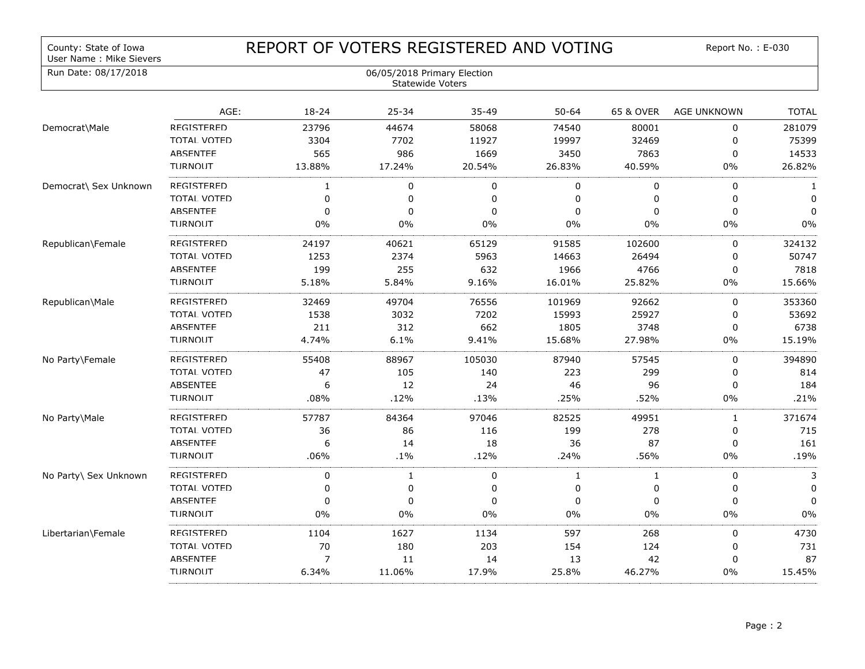## County: State of Iowa<br>User Name : Mike Sievers

## REPORT OF VOTERS REGISTERED AND VOTING

Report No. : E-030

| Run Date: 08/17/2018  | 06/05/2018 Primary Election<br>Statewide Voters |              |              |           |             |           |                    |              |
|-----------------------|-------------------------------------------------|--------------|--------------|-----------|-------------|-----------|--------------------|--------------|
|                       | AGE:                                            | 18-24        | 25-34        | $35 - 49$ | $50 - 64$   | 65 & OVER | <b>AGE UNKNOWN</b> | <b>TOTAL</b> |
| Democrat\Male         | REGISTERED                                      | 23796        | 44674        | 58068     | 74540       | 80001     | 0                  | 281079       |
|                       | TOTAI VOTFD                                     | 3304         | 7702         | 11927     | 19997       | 32469     | 0                  | 75399        |
|                       | <b>ABSENTFF</b>                                 | 565          | 986          | 1669      | 3450        | 7863      | 0                  | 14533        |
|                       | TURNOUT                                         | 13.88%       | 17.24%       | 20.54%    | 26.83%      | 40.59%    | $0\%$              | 26.82%       |
| Democrat\ Sex Unknown | REGISTERED                                      | $\mathbf{1}$ | 0            | 0         | $\mathbf 0$ | 0         | 0                  | 1            |
|                       | TOTAI VOTFD                                     | 0            | 0            | 0         | 0           | 0         | 0                  | $\Omega$     |
|                       | <b>ARSENTFF</b>                                 | 0            | 0            | 0         | $\mathbf 0$ | 0         | 0                  | $\Omega$     |
|                       | <b>TURNOUT</b>                                  | 0%           | $0\%$        | $0\%$     | 0%          | 0%        | $0\%$              | 0%           |
| Republican\Female     | REGISTERED                                      | 24197        | 40621        | 65129     | 91585       | 102600    | 0                  | 324132       |
|                       | TOTAI VOTFD                                     | 1253         | 2374         | 5963      | 14663       | 26494     | 0                  | 50747        |
|                       | <b>ABSENTEF</b>                                 | 199          | 255          | 632       | 1966        | 4766      | $\mathbf 0$        | 7818         |
|                       | <b>TURNOUT</b>                                  | 5.18%        | 5.84%        | 9.16%     | 16.01%      | 25.82%    | $0\%$              | 15.66%       |
| Republican\Male       | REGISTERED                                      | 32469        | 49704        | 76556     | 101969      | 92662     | 0                  | 353360       |
|                       | TOTAI VOTFD                                     | 1538         | 3032         | 7202      | 15993       | 25927     | 0                  | 53692        |
|                       | <b>ARSFNTFF</b>                                 | 211          | 312          | 662       | 1805        | 3748      | 0                  | 6738         |
|                       | <b>TURNOUT</b>                                  | 4.74%        | 6.1%         | 9.41%     | 15.68%      | 27.98%    | $0\%$              | 15.19%       |
| No Party\Female       | REGISTERED                                      | 55408        | 88967        | 105030    | 87940       | 57545     | 0                  | 394890       |
|                       | TOTAI VOTED                                     | 47           | 105          | 140       | 223         | 299       | 0                  | 814          |
|                       | <b>ABSENTFF</b>                                 | 6            | 12           | 24        | 46          | 96        | 0                  | 184          |
|                       | <b>TURNOUT</b>                                  | .08%         | .12%         | .13%      | .25%        | .52%      | 0%                 | .21%         |
| No Party\Male         | REGISTERED                                      | 57787        | 84364        | 97046     | 82525       | 49951     | $\mathbf{1}$       | 371674       |
|                       | TOTAI VOTFD                                     | 36           | 86           | 116       | 199         | 278       | 0                  | 715          |
|                       | <b>ABSENTFF</b>                                 | 6            | 14           | 18        | 36          | 87        | 0                  | 161          |
|                       | <b>TURNOUT</b>                                  | .06%         | $.1\%$       | .12%      | .24%        | .56%      | 0%                 | .19%         |
| No Party\ Sex Unknown | REGISTERED                                      | 0            | $\mathbf{1}$ | 0         | 1           | 1         | 0                  | 3            |
|                       | TOTAI VOTED                                     | 0            | 0            | 0         | 0           | 0         | 0                  | $\Omega$     |
|                       | <b>ABSENTFF</b>                                 | 0            | 0            | 0         | $\pmb{0}$   | 0         | 0                  | $\Omega$     |
|                       | <b>TURNOUT</b>                                  | 0%           | $0\%$        | $0\%$     | 0%          | 0%        | $0\%$              | 0%           |
| Libertarian\Female    | REGISTERED                                      | 1104         | 1627         | 1134      | 597         | 268       | 0                  | 4730         |
|                       | TOTAI VOTED                                     | 70           | 180          | 203       | 154         | 124       | $\Omega$           | 731          |
|                       | <b>ABSENTFF</b>                                 | 7            | 11           | 14        | 13          | 42        | 0                  | 87           |
|                       | <b>TURNOUT</b>                                  | 6.34%        | 11.06%       | 17.9%     | 25.8%       | 46.27%    | $0\%$              | 15.45%       |